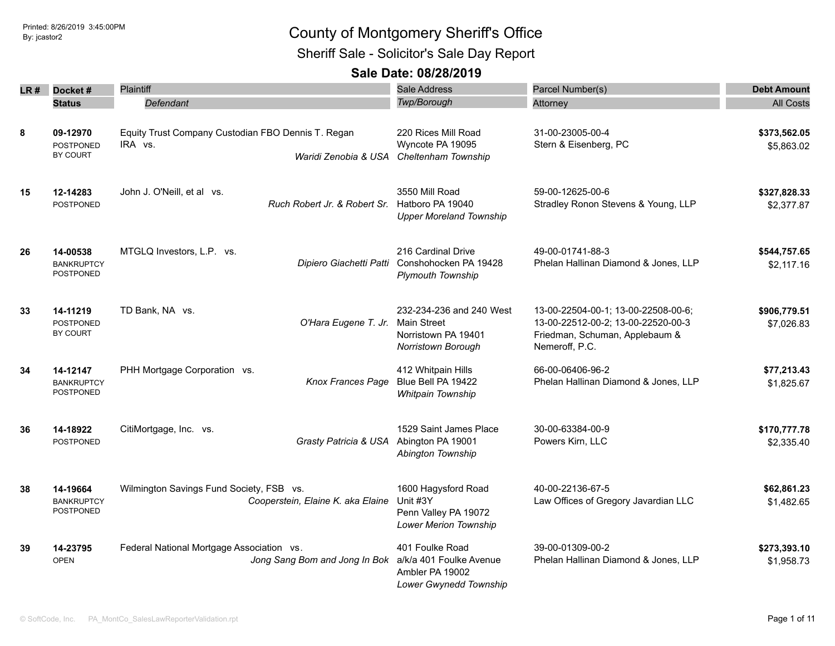Sheriff Sale - Solicitor's Sale Day Report

|    | $LR#$ Docket#                                     | Plaintiff                                                                             | <b>Sale Address</b>                                                                             | Parcel Number(s)                                                                                                              | <b>Debt Amount</b>         |
|----|---------------------------------------------------|---------------------------------------------------------------------------------------|-------------------------------------------------------------------------------------------------|-------------------------------------------------------------------------------------------------------------------------------|----------------------------|
|    | <b>Status</b>                                     | Defendant                                                                             | Twp/Borough                                                                                     | Attorney                                                                                                                      | <b>All Costs</b>           |
| 8  | 09-12970<br><b>POSTPONED</b><br>BY COURT          | Equity Trust Company Custodian FBO Dennis T. Regan<br>IRA vs.<br>Waridi Zenobia & USA | 220 Rices Mill Road<br>Wyncote PA 19095<br>Cheltenham Township                                  | 31-00-23005-00-4<br>Stern & Eisenberg, PC                                                                                     | \$373,562.05<br>\$5,863.02 |
| 15 | 12-14283<br><b>POSTPONED</b>                      | John J. O'Neill, et al vs.<br>Ruch Robert Jr. & Robert Sr.                            | 3550 Mill Road<br>Hatboro PA 19040<br><b>Upper Moreland Township</b>                            | 59-00-12625-00-6<br>Stradley Ronon Stevens & Young, LLP                                                                       | \$327,828.33<br>\$2,377.87 |
| 26 | 14-00538<br><b>BANKRUPTCY</b><br><b>POSTPONED</b> | MTGLQ Investors, L.P. vs.                                                             | 216 Cardinal Drive<br>Dipiero Giachetti Patti Conshohocken PA 19428<br><b>Plymouth Township</b> | 49-00-01741-88-3<br>Phelan Hallinan Diamond & Jones, LLP                                                                      | \$544,757.65<br>\$2,117.16 |
| 33 | 14-11219<br>POSTPONED<br>BY COURT                 | TD Bank, NA vs.<br>O'Hara Eugene T. Jr.                                               | 232-234-236 and 240 West<br>Main Street<br>Norristown PA 19401<br>Norristown Borough            | 13-00-22504-00-1; 13-00-22508-00-6;<br>13-00-22512-00-2; 13-00-22520-00-3<br>Friedman, Schuman, Applebaum &<br>Nemeroff, P.C. | \$906,779.51<br>\$7,026.83 |
| 34 | 14-12147<br><b>BANKRUPTCY</b><br><b>POSTPONED</b> | PHH Mortgage Corporation vs.<br><b>Knox Frances Page</b>                              | 412 Whitpain Hills<br>Blue Bell PA 19422<br>Whitpain Township                                   | 66-00-06406-96-2<br>Phelan Hallinan Diamond & Jones, LLP                                                                      | \$77,213.43<br>\$1,825.67  |
| 36 | 14-18922<br><b>POSTPONED</b>                      | CitiMortgage, Inc. vs.<br>Grasty Patricia & USA Abington PA 19001                     | 1529 Saint James Place<br>Abington Township                                                     | 30-00-63384-00-9<br>Powers Kirn, LLC                                                                                          | \$170,777.78<br>\$2,335.40 |
| 38 | 14-19664<br><b>BANKRUPTCY</b><br>POSTPONED        | Wilmington Savings Fund Society, FSB vs.<br>Cooperstein, Elaine K. aka Elaine         | 1600 Hagysford Road<br>Unit #3Y<br>Penn Valley PA 19072<br>Lower Merion Township                | 40-00-22136-67-5<br>Law Offices of Gregory Javardian LLC                                                                      | \$62,861.23<br>\$1,482.65  |
| 39 | 14-23795<br><b>OPEN</b>                           | Federal National Mortgage Association vs.<br>Jong Sang Bom and Jong In Bok            | 401 Foulke Road<br>a/k/a 401 Foulke Avenue<br>Ambler PA 19002<br>Lower Gwynedd Township         | 39-00-01309-00-2<br>Phelan Hallinan Diamond & Jones, LLP                                                                      | \$273,393.10<br>\$1,958.73 |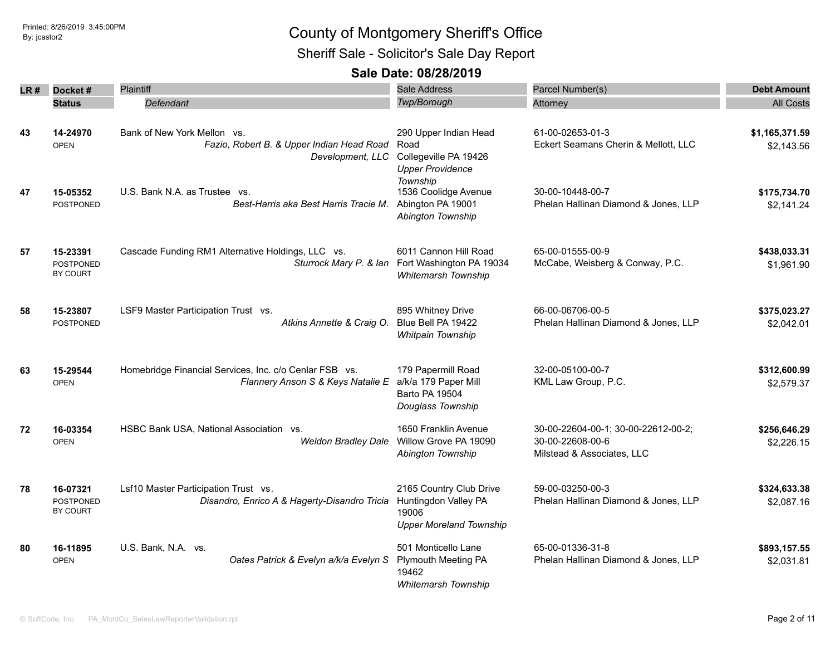Sheriff Sale - Solicitor's Sale Day Report

| LR # | Docket#                                         | <b>Plaintiff</b>                                                                             | Sale Address                                                                               | Parcel Number(s)                                                                      | <b>Debt Amount</b>           |
|------|-------------------------------------------------|----------------------------------------------------------------------------------------------|--------------------------------------------------------------------------------------------|---------------------------------------------------------------------------------------|------------------------------|
|      | <b>Status</b>                                   | Defendant                                                                                    | Twp/Borough                                                                                | Attorney                                                                              | <b>All Costs</b>             |
|      |                                                 |                                                                                              |                                                                                            |                                                                                       |                              |
| 43   | 14-24970<br><b>OPEN</b>                         | Bank of New York Mellon vs.<br>Fazio, Robert B. & Upper Indian Head Road<br>Development, LLC | 290 Upper Indian Head<br>Road<br>Collegeville PA 19426<br><b>Upper Providence</b>          | 61-00-02653-01-3<br>Eckert Seamans Cherin & Mellott, LLC                              | \$1,165,371.59<br>\$2,143.56 |
| 47   | 15-05352<br><b>POSTPONED</b>                    | U.S. Bank N.A. as Trustee<br>VS.<br>Best-Harris aka Best Harris Tracie M.                    | Township<br>1536 Coolidge Avenue<br>Abington PA 19001<br>Abington Township                 | 30-00-10448-00-7<br>Phelan Hallinan Diamond & Jones, LLP                              | \$175,734.70<br>\$2,141.24   |
| 57   | 15-23391<br><b>POSTPONED</b><br><b>BY COURT</b> | Cascade Funding RM1 Alternative Holdings, LLC vs.<br>Sturrock Mary P. & Ian                  | 6011 Cannon Hill Road<br>Fort Washington PA 19034<br><b>Whitemarsh Township</b>            | 65-00-01555-00-9<br>McCabe, Weisberg & Conway, P.C.                                   | \$438,033.31<br>\$1,961.90   |
| 58   | 15-23807<br><b>POSTPONED</b>                    | LSF9 Master Participation Trust vs.<br>Atkins Annette & Craig O.                             | 895 Whitney Drive<br>Blue Bell PA 19422<br>Whitpain Township                               | 66-00-06706-00-5<br>Phelan Hallinan Diamond & Jones, LLP                              | \$375,023.27<br>\$2,042.01   |
| 63   | 15-29544<br><b>OPEN</b>                         | Homebridge Financial Services, Inc. c/o Cenlar FSB vs.<br>Flannery Anson S & Keys Natalie E  | 179 Papermill Road<br>a/k/a 179 Paper Mill<br>Barto PA 19504<br>Douglass Township          | 32-00-05100-00-7<br>KML Law Group, P.C.                                               | \$312,600.99<br>\$2,579.37   |
| 72   | 16-03354<br><b>OPEN</b>                         | HSBC Bank USA, National Association vs.<br><b>Weldon Bradley Dale</b>                        | 1650 Franklin Avenue<br>Willow Grove PA 19090<br>Abington Township                         | 30-00-22604-00-1; 30-00-22612-00-2;<br>30-00-22608-00-6<br>Milstead & Associates, LLC | \$256,646.29<br>\$2,226.15   |
| 78   | 16-07321<br>POSTPONED<br>BY COURT               | Lsf10 Master Participation Trust vs.<br>Disandro, Enrico A & Hagerty-Disandro Tricia         | 2165 Country Club Drive<br>Huntingdon Valley PA<br>19006<br><b>Upper Moreland Township</b> | 59-00-03250-00-3<br>Phelan Hallinan Diamond & Jones, LLP                              | \$324,633.38<br>\$2,087.16   |
| 80   | 16-11895<br><b>OPEN</b>                         | U.S. Bank, N.A. vs.<br>Oates Patrick & Evelyn a/k/a Evelyn S                                 | 501 Monticello Lane<br><b>Plymouth Meeting PA</b><br>19462<br><b>Whitemarsh Township</b>   | 65-00-01336-31-8<br>Phelan Hallinan Diamond & Jones, LLP                              | \$893,157.55<br>\$2,031.81   |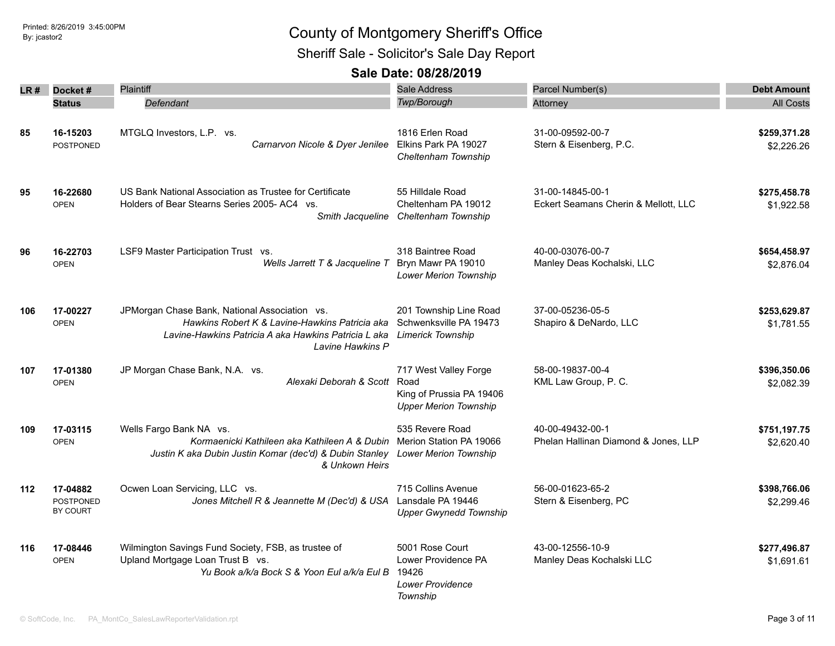Sheriff Sale - Solicitor's Sale Day Report

|     |                                                 | Plaintiff                                                                                                                                                                   | Sale Address                                                                              |                                                          |                            |
|-----|-------------------------------------------------|-----------------------------------------------------------------------------------------------------------------------------------------------------------------------------|-------------------------------------------------------------------------------------------|----------------------------------------------------------|----------------------------|
| LR# | Docket#                                         |                                                                                                                                                                             |                                                                                           | Parcel Number(s)                                         | <b>Debt Amount</b>         |
|     | <b>Status</b>                                   | Defendant                                                                                                                                                                   | Twp/Borough                                                                               | Attorney                                                 | <b>All Costs</b>           |
| 85  | 16-15203<br><b>POSTPONED</b>                    | MTGLQ Investors, L.P. vs.<br>Carnarvon Nicole & Dyer Jenilee                                                                                                                | 1816 Erlen Road<br>Elkins Park PA 19027<br>Cheltenham Township                            | 31-00-09592-00-7<br>Stern & Eisenberg, P.C.              | \$259,371.28<br>\$2,226.26 |
| 95  | 16-22680<br><b>OPEN</b>                         | US Bank National Association as Trustee for Certificate<br>Holders of Bear Stearns Series 2005-AC4 vs.                                                                      | 55 Hilldale Road<br>Cheltenham PA 19012<br>Smith Jacqueline Cheltenham Township           | 31-00-14845-00-1<br>Eckert Seamans Cherin & Mellott, LLC | \$275,458.78<br>\$1,922.58 |
| 96  | 16-22703<br><b>OPEN</b>                         | LSF9 Master Participation Trust vs.<br>Wells Jarrett T & Jacqueline T                                                                                                       | 318 Baintree Road<br>Bryn Mawr PA 19010<br><b>Lower Merion Township</b>                   | 40-00-03076-00-7<br>Manley Deas Kochalski, LLC           | \$654,458.97<br>\$2,876.04 |
| 106 | 17-00227<br><b>OPEN</b>                         | JPMorgan Chase Bank, National Association vs.<br>Hawkins Robert K & Lavine-Hawkins Patricia aka<br>Lavine-Hawkins Patricia A aka Hawkins Patricia L aka<br>Lavine Hawkins P | 201 Township Line Road<br>Schwenksville PA 19473<br><b>Limerick Township</b>              | 37-00-05236-05-5<br>Shapiro & DeNardo, LLC               | \$253,629.87<br>\$1,781.55 |
| 107 | 17-01380<br><b>OPEN</b>                         | JP Morgan Chase Bank, N.A. vs.<br>Alexaki Deborah & Scott                                                                                                                   | 717 West Valley Forge<br>Road<br>King of Prussia PA 19406<br><b>Upper Merion Township</b> | 58-00-19837-00-4<br>KML Law Group, P. C.                 | \$396,350.06<br>\$2,082.39 |
| 109 | 17-03115<br><b>OPEN</b>                         | Wells Fargo Bank NA vs.<br>Kormaenicki Kathileen aka Kathileen A & Dubin<br>Justin K aka Dubin Justin Komar (dec'd) & Dubin Stanley<br>& Unkown Heirs                       | 535 Revere Road<br>Merion Station PA 19066<br><b>Lower Merion Township</b>                | 40-00-49432-00-1<br>Phelan Hallinan Diamond & Jones, LLP | \$751,197.75<br>\$2,620.40 |
| 112 | 17-04882<br><b>POSTPONED</b><br><b>BY COURT</b> | Ocwen Loan Servicing, LLC vs.<br>Jones Mitchell R & Jeannette M (Dec'd) & USA                                                                                               | 715 Collins Avenue<br>Lansdale PA 19446<br><b>Upper Gwynedd Township</b>                  | 56-00-01623-65-2<br>Stern & Eisenberg, PC                | \$398,766.06<br>\$2,299.46 |
| 116 | 17-08446<br><b>OPEN</b>                         | Wilmington Savings Fund Society, FSB, as trustee of<br>Upland Mortgage Loan Trust B vs.<br>Yu Book a/k/a Bock S & Yoon Eul a/k/a Eul B                                      | 5001 Rose Court<br>Lower Providence PA<br>19426<br><b>Lower Providence</b><br>Township    | 43-00-12556-10-9<br>Manley Deas Kochalski LLC            | \$277,496.87<br>\$1,691.61 |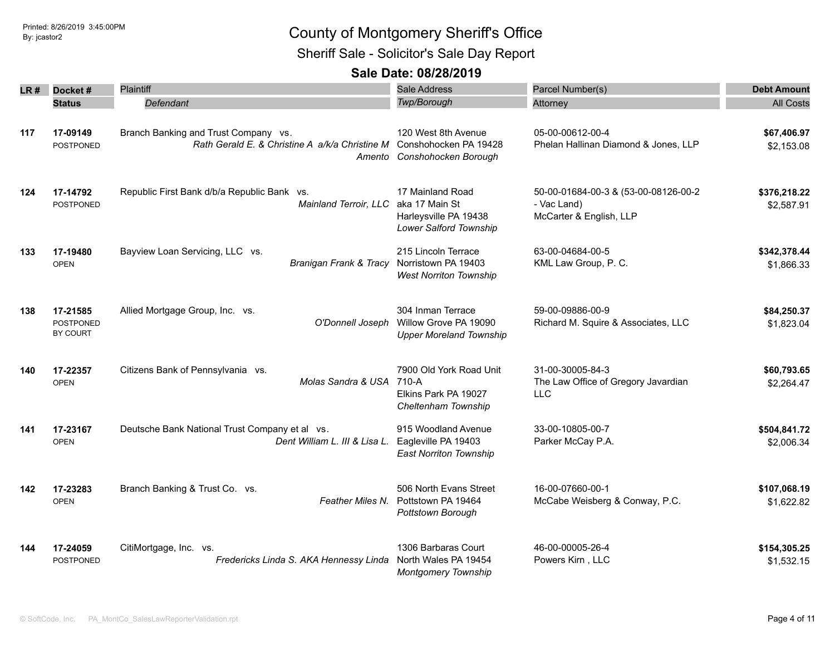Sheriff Sale - Solicitor's Sale Day Report

|      | Docket#                                  | Plaintiff                                                                              | Sale Address                                                                          | Parcel Number(s)                                                               | <b>Debt Amount</b>         |
|------|------------------------------------------|----------------------------------------------------------------------------------------|---------------------------------------------------------------------------------------|--------------------------------------------------------------------------------|----------------------------|
| LR # | <b>Status</b>                            | Defendant                                                                              | Twp/Borough                                                                           | Attorney                                                                       | <b>All Costs</b>           |
|      |                                          |                                                                                        |                                                                                       |                                                                                |                            |
| 117  | 17-09149<br>POSTPONED                    | Branch Banking and Trust Company vs.<br>Rath Gerald E. & Christine A a/k/a Christine M | 120 West 8th Avenue<br>Conshohocken PA 19428<br>Amento Conshohocken Borough           | 05-00-00612-00-4<br>Phelan Hallinan Diamond & Jones, LLP                       | \$67,406.97<br>\$2,153.08  |
| 124  | 17-14792<br><b>POSTPONED</b>             | Republic First Bank d/b/a Republic Bank vs.<br>Mainland Terroir, LLC                   | 17 Mainland Road<br>aka 17 Main St<br>Harleysville PA 19438<br>Lower Salford Township | 50-00-01684-00-3 & (53-00-08126-00-2<br>- Vac Land)<br>McCarter & English, LLP | \$376,218.22<br>\$2,587.91 |
| 133  | 17-19480<br><b>OPEN</b>                  | Bayview Loan Servicing, LLC vs.<br>Branigan Frank & Tracy                              | 215 Lincoln Terrace<br>Norristown PA 19403<br><b>West Norriton Township</b>           | 63-00-04684-00-5<br>KML Law Group, P. C.                                       | \$342,378.44<br>\$1,866.33 |
| 138  | 17-21585<br><b>POSTPONED</b><br>BY COURT | Allied Mortgage Group, Inc. vs.<br>O'Donnell Joseph                                    | 304 Inman Terrace<br>Willow Grove PA 19090<br><b>Upper Moreland Township</b>          | 59-00-09886-00-9<br>Richard M. Squire & Associates, LLC                        | \$84,250.37<br>\$1,823.04  |
| 140  | 17-22357<br><b>OPEN</b>                  | Citizens Bank of Pennsylvania vs.<br>Molas Sandra & USA                                | 7900 Old York Road Unit<br>710-A<br>Elkins Park PA 19027<br>Cheltenham Township       | 31-00-30005-84-3<br>The Law Office of Gregory Javardian<br><b>LLC</b>          | \$60,793.65<br>\$2,264.47  |
| 141  | 17-23167<br><b>OPEN</b>                  | Deutsche Bank National Trust Company et al vs.<br>Dent William L. III & Lisa L.        | 915 Woodland Avenue<br>Eagleville PA 19403<br><b>East Norriton Township</b>           | 33-00-10805-00-7<br>Parker McCay P.A.                                          | \$504,841.72<br>\$2,006.34 |
| 142  | 17-23283<br><b>OPEN</b>                  | Branch Banking & Trust Co. vs.<br>Feather Miles N.                                     | 506 North Evans Street<br>Pottstown PA 19464<br>Pottstown Borough                     | 16-00-07660-00-1<br>McCabe Weisberg & Conway, P.C.                             | \$107,068.19<br>\$1,622.82 |
| 144  | 17-24059<br>POSTPONED                    | CitiMortgage, Inc. vs.<br>Fredericks Linda S. AKA Hennessy Linda                       | 1306 Barbaras Court<br>North Wales PA 19454<br><b>Montgomery Township</b>             | 46-00-00005-26-4<br>Powers Kirn, LLC                                           | \$154,305.25<br>\$1,532.15 |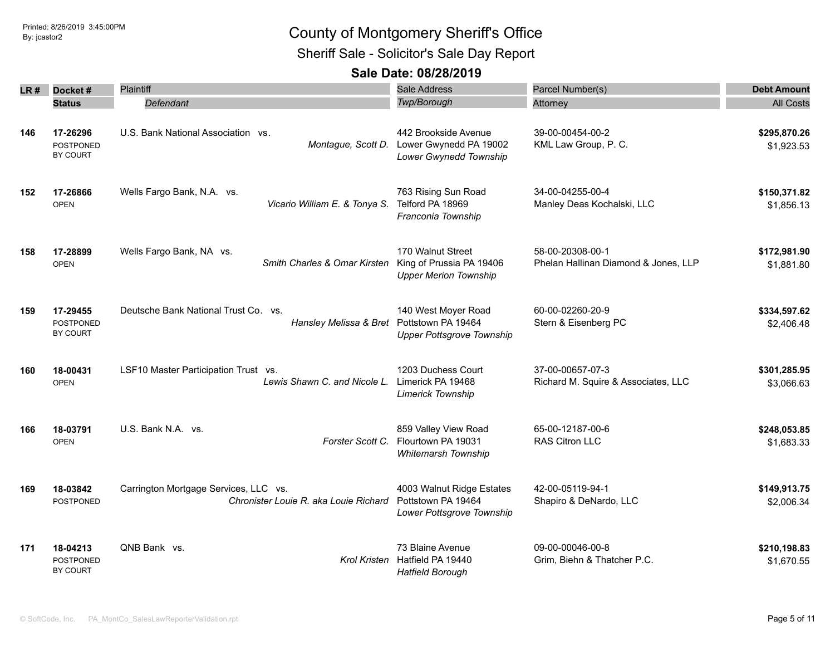Sheriff Sale - Solicitor's Sale Day Report

| LR # | Docket #                                 | <b>Plaintiff</b>                                                                  | Sale Address                                                                  | Parcel Number(s)                                         | <b>Debt Amount</b>         |
|------|------------------------------------------|-----------------------------------------------------------------------------------|-------------------------------------------------------------------------------|----------------------------------------------------------|----------------------------|
|      | <b>Status</b>                            | Defendant                                                                         | Twp/Borough                                                                   | Attorney                                                 | <b>All Costs</b>           |
| 146  | 17-26296<br><b>POSTPONED</b><br>BY COURT | U.S. Bank National Association vs.<br>Montague, Scott D.                          | 442 Brookside Avenue<br>Lower Gwynedd PA 19002<br>Lower Gwynedd Township      | 39-00-00454-00-2<br>KML Law Group, P. C.                 | \$295,870.26<br>\$1,923.53 |
| 152  | 17-26866<br><b>OPEN</b>                  | Wells Fargo Bank, N.A. vs.<br>Vicario William E. & Tonya S.                       | 763 Rising Sun Road<br>Telford PA 18969<br>Franconia Township                 | 34-00-04255-00-4<br>Manley Deas Kochalski, LLC           | \$150,371.82<br>\$1,856.13 |
| 158  | 17-28899<br><b>OPEN</b>                  | Wells Fargo Bank, NA vs.<br>Smith Charles & Omar Kirsten                          | 170 Walnut Street<br>King of Prussia PA 19406<br><b>Upper Merion Township</b> | 58-00-20308-00-1<br>Phelan Hallinan Diamond & Jones, LLP | \$172,981.90<br>\$1,881.80 |
| 159  | 17-29455<br>POSTPONED<br>BY COURT        | Deutsche Bank National Trust Co. vs.<br>Hansley Melissa & Bret Pottstown PA 19464 | 140 West Moyer Road<br><b>Upper Pottsgrove Township</b>                       | 60-00-02260-20-9<br>Stern & Eisenberg PC                 | \$334,597.62<br>\$2,406.48 |
| 160  | 18-00431<br><b>OPEN</b>                  | LSF10 Master Participation Trust vs.<br>Lewis Shawn C. and Nicole L.              | 1203 Duchess Court<br>Limerick PA 19468<br><b>Limerick Township</b>           | 37-00-00657-07-3<br>Richard M. Squire & Associates, LLC  | \$301,285.95<br>\$3,066.63 |
| 166  | 18-03791<br><b>OPEN</b>                  | U.S. Bank N.A. vs.<br>Forster Scott C.                                            | 859 Valley View Road<br>Flourtown PA 19031<br>Whitemarsh Township             | 65-00-12187-00-6<br><b>RAS Citron LLC</b>                | \$248,053.85<br>\$1,683.33 |
| 169  | 18-03842<br>POSTPONED                    | Carrington Mortgage Services, LLC vs.<br>Chronister Louie R, aka Louie Richard    | 4003 Walnut Ridge Estates<br>Pottstown PA 19464<br>Lower Pottsgrove Township  | 42-00-05119-94-1<br>Shapiro & DeNardo, LLC               | \$149,913.75<br>\$2,006.34 |
| 171  | 18-04213<br><b>POSTPONED</b><br>BY COURT | QNB Bank vs.                                                                      | 73 Blaine Avenue<br>Krol Kristen Hatfield PA 19440<br><b>Hatfield Borough</b> | 09-00-00046-00-8<br>Grim, Biehn & Thatcher P.C.          | \$210,198.83<br>\$1,670.55 |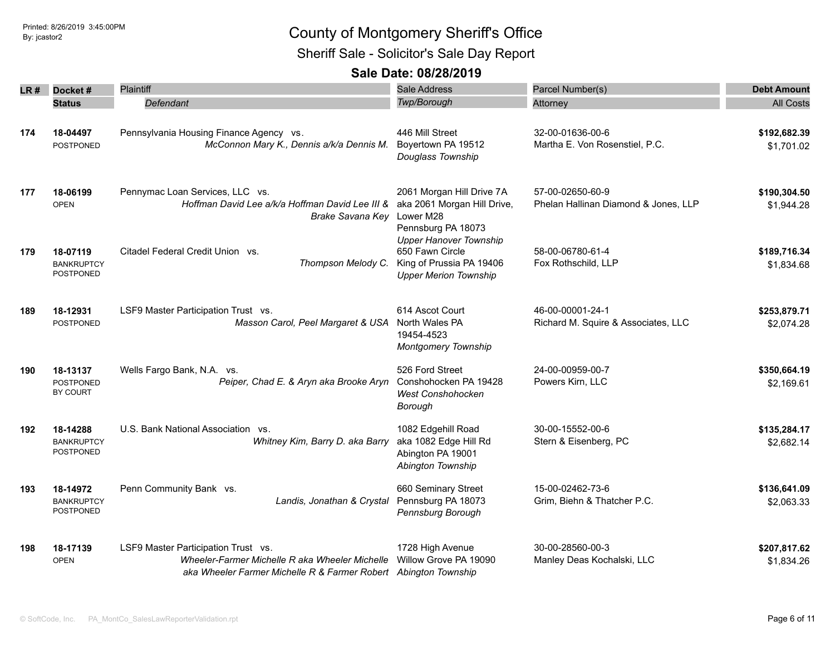Sheriff Sale - Solicitor's Sale Day Report

| LR # | Docket#                                           | Plaintiff                                                                                                                                                | Sale Address                                                                                                 | Parcel Number(s)                                         | <b>Debt Amount</b>         |
|------|---------------------------------------------------|----------------------------------------------------------------------------------------------------------------------------------------------------------|--------------------------------------------------------------------------------------------------------------|----------------------------------------------------------|----------------------------|
|      | <b>Status</b>                                     | Defendant                                                                                                                                                | Twp/Borough                                                                                                  | Attorney                                                 | <b>All Costs</b>           |
| 174  | 18-04497<br><b>POSTPONED</b>                      | Pennsylvania Housing Finance Agency vs.<br>McConnon Mary K., Dennis a/k/a Dennis M.                                                                      | 446 Mill Street<br>Boyertown PA 19512<br>Douglass Township                                                   | 32-00-01636-00-6<br>Martha E. Von Rosenstiel, P.C.       | \$192,682.39<br>\$1,701.02 |
| 177  | 18-06199<br><b>OPEN</b>                           | Pennymac Loan Services, LLC vs.<br>Hoffman David Lee a/k/a Hoffman David Lee III &<br><b>Brake Savana Key</b>                                            | 2061 Morgan Hill Drive 7A<br>aka 2061 Morgan Hill Drive,<br>Lower M28<br>Pennsburg PA 18073                  | 57-00-02650-60-9<br>Phelan Hallinan Diamond & Jones, LLP | \$190,304.50<br>\$1,944.28 |
| 179  | 18-07119<br><b>BANKRUPTCY</b><br><b>POSTPONED</b> | Citadel Federal Credit Union vs.<br>Thompson Melody C.                                                                                                   | <b>Upper Hanover Township</b><br>650 Fawn Circle<br>King of Prussia PA 19406<br><b>Upper Merion Township</b> | 58-00-06780-61-4<br>Fox Rothschild, LLP                  | \$189,716.34<br>\$1,834.68 |
| 189  | 18-12931<br><b>POSTPONED</b>                      | LSF9 Master Participation Trust vs.<br>Masson Carol, Peel Margaret & USA                                                                                 | 614 Ascot Court<br>North Wales PA<br>19454-4523<br><b>Montgomery Township</b>                                | 46-00-00001-24-1<br>Richard M. Squire & Associates, LLC  | \$253,879.71<br>\$2,074.28 |
| 190  | 18-13137<br><b>POSTPONED</b><br>BY COURT          | Wells Fargo Bank, N.A. vs.<br>Peiper, Chad E. & Aryn aka Brooke Aryn                                                                                     | 526 Ford Street<br>Conshohocken PA 19428<br><b>West Conshohocken</b><br>Borough                              | 24-00-00959-00-7<br>Powers Kirn, LLC                     | \$350,664.19<br>\$2,169.61 |
| 192  | 18-14288<br><b>BANKRUPTCY</b><br>POSTPONED        | U.S. Bank National Association vs.<br>Whitney Kim, Barry D. aka Barry                                                                                    | 1082 Edgehill Road<br>aka 1082 Edge Hill Rd<br>Abington PA 19001<br>Abington Township                        | 30-00-15552-00-6<br>Stern & Eisenberg, PC                | \$135,284.17<br>\$2,682.14 |
| 193  | 18-14972<br><b>BANKRUPTCY</b><br><b>POSTPONED</b> | Penn Community Bank vs.<br>Landis, Jonathan & Crystal                                                                                                    | 660 Seminary Street<br>Pennsburg PA 18073<br>Pennsburg Borough                                               | 15-00-02462-73-6<br>Grim, Biehn & Thatcher P.C.          | \$136,641.09<br>\$2,063.33 |
| 198  | 18-17139<br><b>OPEN</b>                           | LSF9 Master Participation Trust vs.<br>Wheeler-Farmer Michelle R aka Wheeler Michelle<br>aka Wheeler Farmer Michelle R & Farmer Robert Abington Township | 1728 High Avenue<br>Willow Grove PA 19090                                                                    | 30-00-28560-00-3<br>Manley Deas Kochalski, LLC           | \$207,817.62<br>\$1,834.26 |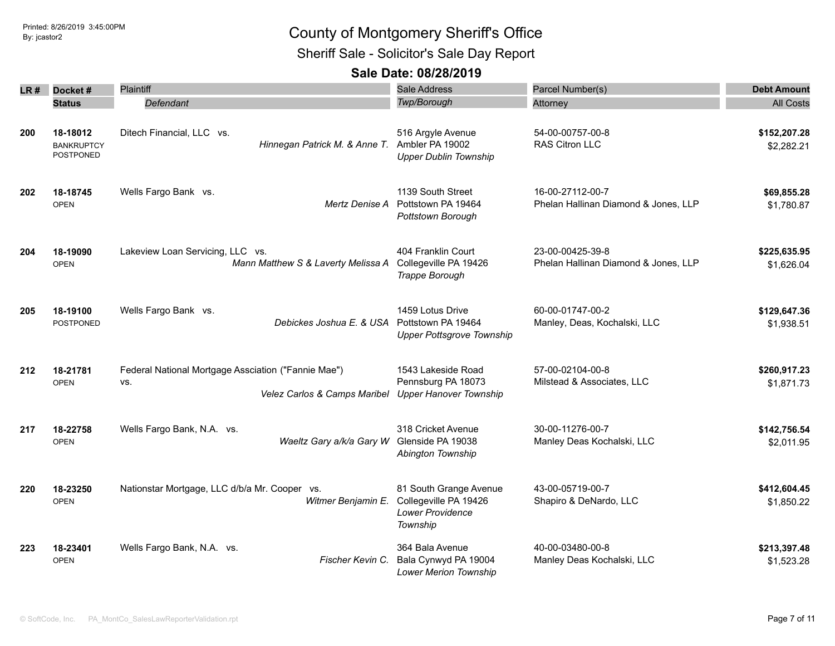Sheriff Sale - Solicitor's Sale Day Report

| LR # | Docket#                                    | Plaintiff                                                                                  | <b>Sale Address</b>                                                                    | Parcel Number(s)                                         | <b>Debt Amount</b>         |
|------|--------------------------------------------|--------------------------------------------------------------------------------------------|----------------------------------------------------------------------------------------|----------------------------------------------------------|----------------------------|
|      | <b>Status</b>                              | Defendant                                                                                  | Twp/Borough                                                                            | Attorney                                                 | <b>All Costs</b>           |
| 200  | 18-18012<br><b>BANKRUPTCY</b><br>POSTPONED | Ditech Financial, LLC vs.<br>Hinnegan Patrick M. & Anne T.                                 | 516 Argyle Avenue<br>Ambler PA 19002<br><b>Upper Dublin Township</b>                   | 54-00-00757-00-8<br>RAS Citron LLC                       | \$152,207.28<br>\$2,282.21 |
| 202  | 18-18745<br><b>OPEN</b>                    | Wells Fargo Bank vs.<br>Mertz Denise A                                                     | 1139 South Street<br>Pottstown PA 19464<br>Pottstown Borough                           | 16-00-27112-00-7<br>Phelan Hallinan Diamond & Jones, LLP | \$69,855.28<br>\$1,780.87  |
| 204  | 18-19090<br><b>OPEN</b>                    | Lakeview Loan Servicing, LLC vs.<br>Mann Matthew S & Laverty Melissa A                     | 404 Franklin Court<br>Collegeville PA 19426<br>Trappe Borough                          | 23-00-00425-39-8<br>Phelan Hallinan Diamond & Jones, LLP | \$225,635.95<br>\$1,626.04 |
| 205  | 18-19100<br><b>POSTPONED</b>               | Wells Fargo Bank vs.<br>Debickes Joshua E. & USA                                           | 1459 Lotus Drive<br>Pottstown PA 19464<br><b>Upper Pottsgrove Township</b>             | 60-00-01747-00-2<br>Manley, Deas, Kochalski, LLC         | \$129,647.36<br>\$1,938.51 |
| 212  | 18-21781<br><b>OPEN</b>                    | Federal National Mortgage Assciation ("Fannie Mae")<br>VS.<br>Velez Carlos & Camps Maribel | 1543 Lakeside Road<br>Pennsburg PA 18073<br><b>Upper Hanover Township</b>              | 57-00-02104-00-8<br>Milstead & Associates, LLC           | \$260,917.23<br>\$1,871.73 |
| 217  | 18-22758<br><b>OPEN</b>                    | Wells Fargo Bank, N.A. vs.<br>Waeltz Gary a/k/a Gary W                                     | 318 Cricket Avenue<br>Glenside PA 19038<br>Abington Township                           | 30-00-11276-00-7<br>Manley Deas Kochalski, LLC           | \$142,756.54<br>\$2,011.95 |
| 220  | 18-23250<br><b>OPEN</b>                    | Nationstar Mortgage, LLC d/b/a Mr. Cooper vs.<br>Witmer Benjamin E.                        | 81 South Grange Avenue<br>Collegeville PA 19426<br><b>Lower Providence</b><br>Township | 43-00-05719-00-7<br>Shapiro & DeNardo, LLC               | \$412,604.45<br>\$1,850.22 |
| 223  | 18-23401<br><b>OPEN</b>                    | Wells Fargo Bank, N.A. vs.<br>Fischer Kevin C.                                             | 364 Bala Avenue<br>Bala Cynwyd PA 19004<br>Lower Merion Township                       | 40-00-03480-00-8<br>Manley Deas Kochalski, LLC           | \$213,397.48<br>\$1,523.28 |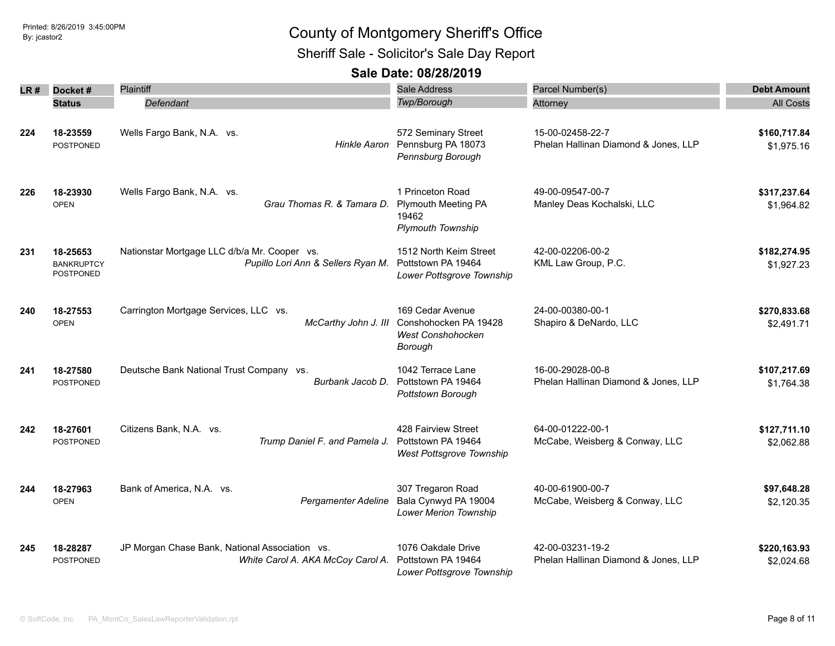Sheriff Sale - Solicitor's Sale Day Report

| LR # | Docket#                                    | Plaintiff                                                                           | <b>Sale Address</b>                                                                 | Parcel Number(s)                                         | <b>Debt Amount</b>         |
|------|--------------------------------------------|-------------------------------------------------------------------------------------|-------------------------------------------------------------------------------------|----------------------------------------------------------|----------------------------|
|      | <b>Status</b>                              | Defendant                                                                           | Twp/Borough                                                                         | Attorney                                                 | <b>All Costs</b>           |
| 224  | 18-23559<br>POSTPONED                      | Wells Fargo Bank, N.A. vs.<br>Hinkle Aaron                                          | 572 Seminary Street<br>Pennsburg PA 18073<br>Pennsburg Borough                      | 15-00-02458-22-7<br>Phelan Hallinan Diamond & Jones, LLP | \$160,717.84<br>\$1,975.16 |
| 226  | 18-23930<br><b>OPEN</b>                    | Wells Fargo Bank, N.A. vs.<br>Grau Thomas R. & Tamara D.                            | 1 Princeton Road<br><b>Plymouth Meeting PA</b><br>19462<br><b>Plymouth Township</b> | 49-00-09547-00-7<br>Manley Deas Kochalski, LLC           | \$317,237.64<br>\$1,964.82 |
| 231  | 18-25653<br><b>BANKRUPTCY</b><br>POSTPONED | Nationstar Mortgage LLC d/b/a Mr. Cooper vs.<br>Pupillo Lori Ann & Sellers Ryan M.  | 1512 North Keim Street<br>Pottstown PA 19464<br>Lower Pottsgrove Township           | 42-00-02206-00-2<br>KML Law Group, P.C.                  | \$182,274.95<br>\$1,927.23 |
| 240  | 18-27553<br><b>OPEN</b>                    | Carrington Mortgage Services, LLC vs.<br>McCarthy John J. III                       | 169 Cedar Avenue<br>Conshohocken PA 19428<br><b>West Conshohocken</b><br>Borough    | 24-00-00380-00-1<br>Shapiro & DeNardo, LLC               | \$270,833.68<br>\$2,491.71 |
| 241  | 18-27580<br>POSTPONED                      | Deutsche Bank National Trust Company vs.<br>Burbank Jacob D.                        | 1042 Terrace Lane<br>Pottstown PA 19464<br>Pottstown Borough                        | 16-00-29028-00-8<br>Phelan Hallinan Diamond & Jones, LLP | \$107,217.69<br>\$1,764.38 |
| 242  | 18-27601<br>POSTPONED                      | Citizens Bank, N.A. vs.<br>Trump Daniel F. and Pamela J.                            | 428 Fairview Street<br>Pottstown PA 19464<br>West Pottsgrove Township               | 64-00-01222-00-1<br>McCabe, Weisberg & Conway, LLC       | \$127,711.10<br>\$2,062.88 |
| 244  | 18-27963<br><b>OPEN</b>                    | Bank of America, N.A. vs.<br>Pergamenter Adeline                                    | 307 Tregaron Road<br>Bala Cynwyd PA 19004<br>Lower Merion Township                  | 40-00-61900-00-7<br>McCabe, Weisberg & Conway, LLC       | \$97,648.28<br>\$2,120.35  |
| 245  | 18-28287<br>POSTPONED                      | JP Morgan Chase Bank, National Association vs.<br>White Carol A. AKA McCoy Carol A. | 1076 Oakdale Drive<br>Pottstown PA 19464<br>Lower Pottsgrove Township               | 42-00-03231-19-2<br>Phelan Hallinan Diamond & Jones, LLP | \$220,163.93<br>\$2,024.68 |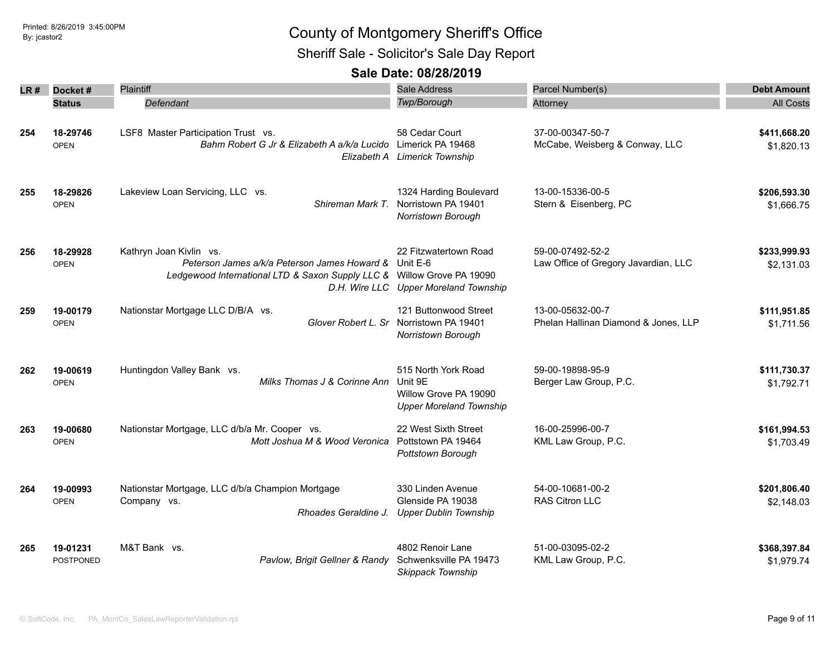Sheriff Sale - Solicitor's Sale Day Report

| LR # | Docket#                      | Plaintiff                                                                                                                                                  | <b>Sale Address</b>                                                                           | Parcel Number(s)                                         | <b>Debt Amount</b>         |
|------|------------------------------|------------------------------------------------------------------------------------------------------------------------------------------------------------|-----------------------------------------------------------------------------------------------|----------------------------------------------------------|----------------------------|
|      | <b>Status</b>                | Defendant                                                                                                                                                  | Twp/Borough                                                                                   | Attorney                                                 | <b>All Costs</b>           |
| 254  | 18-29746<br><b>OPEN</b>      | LSF8 Master Participation Trust vs.<br>Bahm Robert G Jr & Elizabeth A a/k/a Lucido Limerick PA 19468                                                       | 58 Cedar Court<br>Elizabeth A Limerick Township                                               | 37-00-00347-50-7<br>McCabe, Weisberg & Conway, LLC       | \$411,668.20<br>\$1,820.13 |
| 255  | 18-29826<br><b>OPEN</b>      | Lakeview Loan Servicing, LLC vs.<br>Shireman Mark T.                                                                                                       | 1324 Harding Boulevard<br>Norristown PA 19401<br>Norristown Borough                           | 13-00-15336-00-5<br>Stern & Eisenberg, PC                | \$206,593.30<br>\$1,666.75 |
| 256  | 18-29928<br><b>OPEN</b>      | Kathryn Joan Kivlin vs.<br>Peterson James a/k/a Peterson James Howard & Unit E-6<br>Ledgewood International LTD & Saxon Supply LLC & Willow Grove PA 19090 | 22 Fitzwatertown Road<br>D.H. Wire LLC Upper Moreland Township                                | 59-00-07492-52-2<br>Law Office of Gregory Javardian, LLC | \$233,999.93<br>\$2,131.03 |
| 259  | 19-00179<br><b>OPEN</b>      | Nationstar Mortgage LLC D/B/A vs.                                                                                                                          | 121 Buttonwood Street<br>Glover Robert L. Sr Norristown PA 19401<br><b>Norristown Borough</b> | 13-00-05632-00-7<br>Phelan Hallinan Diamond & Jones, LLP | \$111,951.85<br>\$1,711.56 |
| 262  | 19-00619<br><b>OPEN</b>      | Huntingdon Valley Bank vs.<br>Milks Thomas J & Corinne Ann                                                                                                 | 515 North York Road<br>Unit 9E<br>Willow Grove PA 19090<br><b>Upper Moreland Township</b>     | 59-00-19898-95-9<br>Berger Law Group, P.C.               | \$111,730.37<br>\$1,792.71 |
| 263  | 19-00680<br><b>OPEN</b>      | Nationstar Mortgage, LLC d/b/a Mr. Cooper vs.<br>Mott Joshua M & Wood Veronica                                                                             | 22 West Sixth Street<br>Pottstown PA 19464<br>Pottstown Borough                               | 16-00-25996-00-7<br>KML Law Group, P.C.                  | \$161,994.53<br>\$1,703.49 |
| 264  | 19-00993<br><b>OPEN</b>      | Nationstar Mortgage, LLC d/b/a Champion Mortgage<br>Company vs.<br>Rhoades Geraldine J.                                                                    | 330 Linden Avenue<br>Glenside PA 19038<br><b>Upper Dublin Township</b>                        | 54-00-10681-00-2<br>RAS Citron LLC                       | \$201,806.40<br>\$2,148.03 |
| 265  | 19-01231<br><b>POSTPONED</b> | M&T Bank vs.<br>Pavlow, Brigit Gellner & Randy                                                                                                             | 4802 Renoir Lane<br>Schwenksville PA 19473<br><b>Skippack Township</b>                        | 51-00-03095-02-2<br>KML Law Group, P.C.                  | \$368,397.84<br>\$1,979.74 |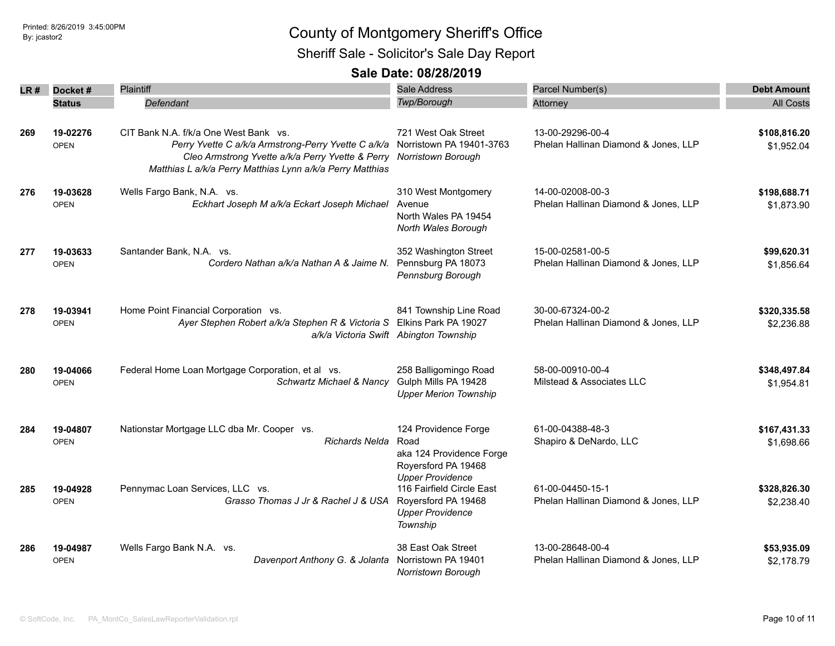Sheriff Sale - Solicitor's Sale Day Report

| LR # | Docket#       | Plaintiff                                                                    | Sale Address                                         | Parcel Number(s)                     | <b>Debt Amount</b> |
|------|---------------|------------------------------------------------------------------------------|------------------------------------------------------|--------------------------------------|--------------------|
|      | <b>Status</b> | Defendant                                                                    | Twp/Borough                                          | Attorney                             | <b>All Costs</b>   |
|      |               |                                                                              |                                                      |                                      |                    |
| 269  | 19-02276      | CIT Bank N.A. f/k/a One West Bank vs.                                        | 721 West Oak Street                                  | 13-00-29296-00-4                     | \$108,816.20       |
|      | <b>OPEN</b>   | Perry Yvette C a/k/a Armstrong-Perry Yvette C a/k/a Norristown PA 19401-3763 |                                                      | Phelan Hallinan Diamond & Jones, LLP | \$1,952.04         |
|      |               | Cleo Armstrong Yvette a/k/a Perry Yvette & Perry                             | Norristown Borough                                   |                                      |                    |
|      |               | Matthias L a/k/a Perry Matthias Lynn a/k/a Perry Matthias                    |                                                      |                                      |                    |
| 276  | 19-03628      | Wells Fargo Bank, N.A. vs.                                                   | 310 West Montgomery                                  | 14-00-02008-00-3                     | \$198,688.71       |
|      | <b>OPEN</b>   | Eckhart Joseph M a/k/a Eckart Joseph Michael                                 | Avenue                                               | Phelan Hallinan Diamond & Jones, LLP | \$1,873.90         |
|      |               |                                                                              | North Wales PA 19454                                 |                                      |                    |
|      |               |                                                                              | North Wales Borough                                  |                                      |                    |
| 277  | 19-03633      | Santander Bank, N.A. vs.                                                     | 352 Washington Street                                | 15-00-02581-00-5                     | \$99,620.31        |
|      | <b>OPEN</b>   | Cordero Nathan a/k/a Nathan A & Jaime N.                                     | Pennsburg PA 18073                                   | Phelan Hallinan Diamond & Jones, LLP | \$1,856.64         |
|      |               |                                                                              | Pennsburg Borough                                    |                                      |                    |
|      |               |                                                                              |                                                      |                                      |                    |
| 278  | 19-03941      | Home Point Financial Corporation vs.                                         | 841 Township Line Road                               | 30-00-67324-00-2                     | \$320,335.58       |
|      | <b>OPEN</b>   | Ayer Stephen Robert a/k/a Stephen R & Victoria S Elkins Park PA 19027        |                                                      | Phelan Hallinan Diamond & Jones, LLP | \$2,236.88         |
|      |               |                                                                              | a/k/a Victoria Swift Abington Township               |                                      |                    |
|      |               |                                                                              |                                                      |                                      |                    |
| 280  | 19-04066      | Federal Home Loan Mortgage Corporation, et al vs.                            | 258 Balligomingo Road                                | 58-00-00910-00-4                     | \$348,497.84       |
|      | <b>OPEN</b>   | Schwartz Michael & Nancy                                                     | Gulph Mills PA 19428                                 | Milstead & Associates LLC            | \$1,954.81         |
|      |               |                                                                              | <b>Upper Merion Township</b>                         |                                      |                    |
|      |               |                                                                              |                                                      |                                      |                    |
| 284  | 19-04807      | Nationstar Mortgage LLC dba Mr. Cooper vs.                                   | 124 Providence Forge                                 | 61-00-04388-48-3                     | \$167,431.33       |
|      | <b>OPEN</b>   | <b>Richards Nelda</b>                                                        | Road                                                 | Shapiro & DeNardo, LLC               | \$1,698.66         |
|      |               |                                                                              | aka 124 Providence Forge                             |                                      |                    |
|      |               |                                                                              | Royersford PA 19468                                  |                                      |                    |
| 285  | 19-04928      | Pennymac Loan Services, LLC vs.                                              | <b>Upper Providence</b><br>116 Fairfield Circle East | 61-00-04450-15-1                     | \$328,826.30       |
|      | <b>OPEN</b>   | Grasso Thomas J Jr & Rachel J & USA                                          | Royersford PA 19468                                  | Phelan Hallinan Diamond & Jones, LLP | \$2,238.40         |
|      |               |                                                                              | <b>Upper Providence</b>                              |                                      |                    |
|      |               |                                                                              | Township                                             |                                      |                    |
| 286  | 19-04987      | Wells Fargo Bank N.A. vs.                                                    | 38 East Oak Street                                   | 13-00-28648-00-4                     | \$53,935.09        |
|      | <b>OPEN</b>   | Davenport Anthony G. & Jolanta                                               | Norristown PA 19401                                  | Phelan Hallinan Diamond & Jones, LLP | \$2,178.79         |
|      |               |                                                                              | <b>Norristown Borough</b>                            |                                      |                    |